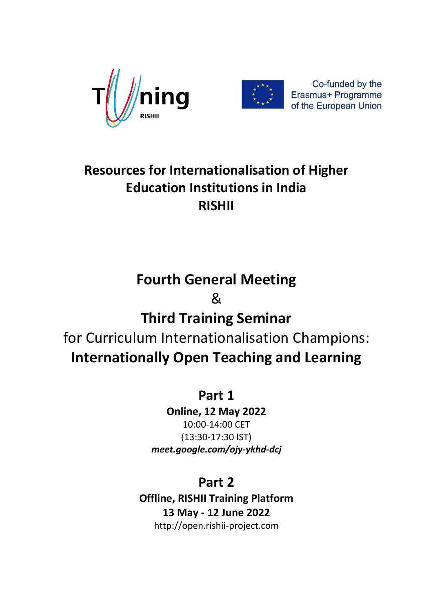



## **Resources for Internationalisation of Higher Education Institutions in India RISHII**

# **Fourth General Meeting**  & **Third Training Seminar**  for Curriculum Internationalisation Champions: **Internationally Open Teaching and Learning**

### **Part 1**

**Online, 12 May 2022** 10:00-14:00 CET (13:30-17:30 IST) *meet.google.com/ojy-ykhd-dcj*

### **Part 2**

**Offline, RISHII Training Platform 13 May - 12 June 2022** http://open.rishii-project.com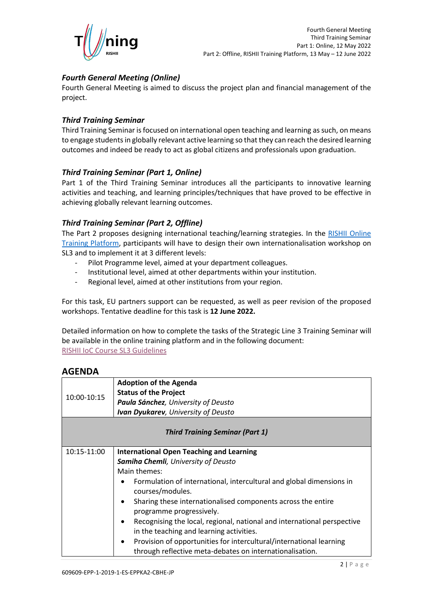

#### *Fourth General Meeting (Online)*

Fourth General Meeting is aimed to discuss the project plan and financial management of the project.

#### *Third Training Seminar*

Third Training Seminar is focused on international open teaching and learning as such, on means to engage students in globally relevant active learning so that they can reach the desired learning outcomes and indeed be ready to act as global citizens and professionals upon graduation.

#### *Third Training Seminar (Part 1, Online)*

Part 1 of the Third Training Seminar introduces all the participants to innovative learning activities and teaching, and learning principles/techniques that have proved to be effective in achieving globally relevant learning outcomes.

#### *Third Training Seminar (Part 2, Offline)*

The Part 2 proposes designing international teaching/learning strategies. In the RISHII Online [Training Platform,](http://open.rishii-project.com/course/view.php?id=42) participants will have to design their own internationalisation workshop on SL3 and to implement it at 3 different levels:

- Pilot Programme level, aimed at your department colleagues.
- Institutional level, aimed at other departments within your institution.
- Regional level, aimed at other institutions from your region.

For this task, EU partners support can be requested, as well as peer revision of the proposed workshops. Tentative deadline for this task is **12 June 2022.**

Detailed information on how to complete the tasks of the Strategic Line 3 Training Seminar will be available in the online training platform and in the following document: RISHII [IoC Course](http://open.rishii-project.com/mod/resource/view.php?id=256) SL3 Guidelines

#### **AGENDA**

| 10:00-10:15                            | <b>Adoption of the Agenda</b><br><b>Status of the Project</b><br>Paula Sánchez, University of Deusto<br><b>Ivan Dyukarev</b> , University of Deusto                                                                                                                                                                                                                                                                                                                                                                                                                                |  |
|----------------------------------------|------------------------------------------------------------------------------------------------------------------------------------------------------------------------------------------------------------------------------------------------------------------------------------------------------------------------------------------------------------------------------------------------------------------------------------------------------------------------------------------------------------------------------------------------------------------------------------|--|
| <b>Third Training Seminar (Part 1)</b> |                                                                                                                                                                                                                                                                                                                                                                                                                                                                                                                                                                                    |  |
| 10:15-11:00                            | <b>International Open Teaching and Learning</b><br>Samiha Chemli, University of Deusto<br>Main themes:<br>Formulation of international, intercultural and global dimensions in<br>courses/modules.<br>Sharing these internationalised components across the entire<br>programme progressively.<br>Recognising the local, regional, national and international perspective<br>$\bullet$<br>in the teaching and learning activities.<br>Provision of opportunities for intercultural/international learning<br>$\bullet$<br>through reflective meta-debates on internationalisation. |  |